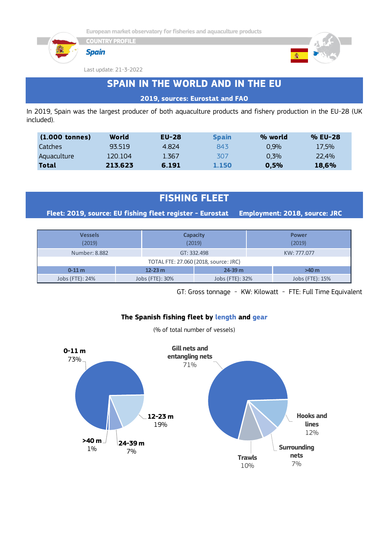





Last update: 21-3-2022

**COUNTRY PROFILE**

# **SPAIN IN THE WORLD AND IN THE EU**

### **2019, sources: Eurostat and FAO**

In 2019, Spain was the largest producer of both aquaculture products and fishery production in the EU-28 (UK included).

| $(1.000 \t{tonnes})$ | World   | $EU-28$ | <b>Spain</b> | % world | % EU-28 |
|----------------------|---------|---------|--------------|---------|---------|
| <b>Catches</b>       | 93519   | 4.824   | 843          | 0.9%    | 17.5%   |
| Aquaculture          | 120.104 | 1.367   | 307          | 0.3%    | 22,4%   |
| Total                | 213.623 | 6.191   | 1.150        | 0.5%    | 18,6%   |

# **FISHING FLEET**

**Fleet: 2019, source: EU fishing fleet register - Eurostat Employment: 2018, source: JRC**

| <b>Vessels</b><br>(2019)              |                 | <b>Capacity</b><br>(2019) | <b>Power</b><br>(2019) |  |  |  |  |  |  |
|---------------------------------------|-----------------|---------------------------|------------------------|--|--|--|--|--|--|
| Number: 8.882                         |                 | GT: 332.498               | KW: 777.077            |  |  |  |  |  |  |
| TOTAL FTE: 27.060 (2018, source: JRC) |                 |                           |                        |  |  |  |  |  |  |
| $0 - 11$ m                            | $12 - 23$ m     | $24 - 39$ m               | >40 m                  |  |  |  |  |  |  |
| Jobs (FTE): 24%                       | Jobs (FTE): 30% | Jobs (FTE): 32%           | Jobs (FTE): 15%        |  |  |  |  |  |  |

GT: Gross tonnage - KW: Kilowatt - FTE: Full Time Equivalent

### **The Spanish fishing fleet by length and gear**

(% of total number of vessels)

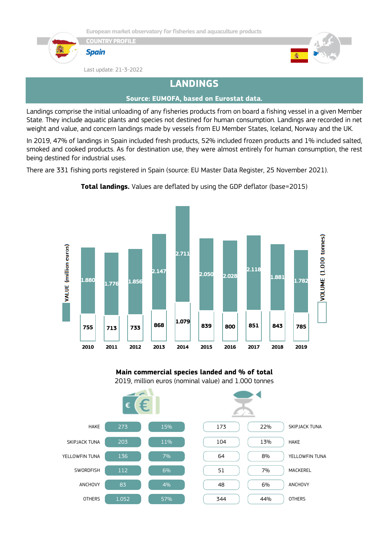

*Spain*





Last update: 21-3-2022

# **LANDINGS**

### **Source: EUMOFA, based on Eurostat data.**

Landings comprise the initial unloading of any fisheries products from on board a fishing vessel in a given Member State. They include aquatic plants and species not destined for human consumption. Landings are recorded in net weight and value, and concern landings made by vessels from EU Member States, Iceland, Norway and the UK.

In 2019, 47% of landings in Spain included fresh products, 52% included frozen products and 1% included salted, smoked and cooked products. As for destination use, they were almost entirely for human consumption, the rest being destined for industrial uses.

There are 331 fishing ports registered in Spain (source: EU Master Data Register, 25 November 2021).



**Total landings.** Values are deflated by using the GDP deflator (base=2015)

**Main commercial species landed and % of total** 2019, million euros (nominal value) and 1.000 tonnes

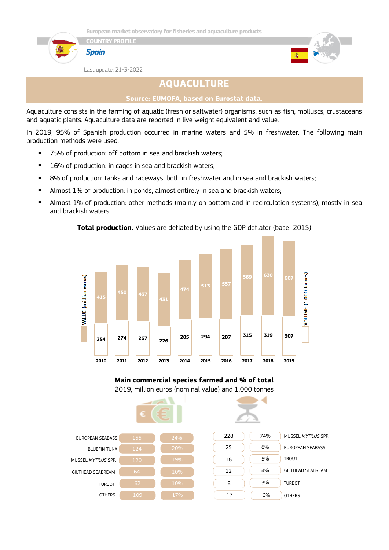



Last update: 21-3-2022

**COUNTRY PROFILE**

*Spain*

# **AQUACULTURE**

#### **Source: EUMOFA, based on Eurostat data.**

Aquaculture consists in the farming of aquatic (fresh or saltwater) organisms, such as fish, molluscs, crustaceans and aquatic plants. Aquaculture data are reported in live weight equivalent and value.

In 2019, 95% of Spanish production occurred in marine waters and 5% in freshwater. The following main production methods were used:

- 75% of production: off bottom in sea and brackish waters;
- 16% of production: in cages in sea and brackish waters;
- 8% of production: tanks and raceways, both in freshwater and in sea and brackish waters;
- **■** Almost 1% of production: in ponds, almost entirely in sea and brackish waters;
- **EXECT Almost 1% of production: other methods (mainly on bottom and in recirculation systems), mostly in sea** and brackish waters.

#### **Total production.** Values are deflated by using the GDP deflator (base=2015)



**Main commercial species farmed and % of total** 2019, million euros (nominal value) and 1.000 tonnes

|                          | €   | <b>The Company's</b> |     |     |                         |  |
|--------------------------|-----|----------------------|-----|-----|-------------------------|--|
| <b>EUROPEAN SEABASS</b>  | 155 | 24%                  | 228 | 74% | MUSSEL MYTILUS SPP.     |  |
| <b>BLUEFIN TUNA</b>      | 124 | 20%                  | 25  | 8%  | <b>EUROPEAN SEABASS</b> |  |
| MUSSEL MYTILUS SPP.      | 120 | 19%                  | 16  | 5%  | <b>TROUT</b>            |  |
| <b>GILTHEAD SEABREAM</b> | 64  | 10%                  | 12  | 4%  | GILTHEAD SEABREAM       |  |
| <b>TURBOT</b>            | 62  | 10%                  | 8   | 3%  | <b>TURBOT</b>           |  |
| <b>OTHERS</b>            | 109 | 17%                  | 17  | 6%  | <b>OTHERS</b>           |  |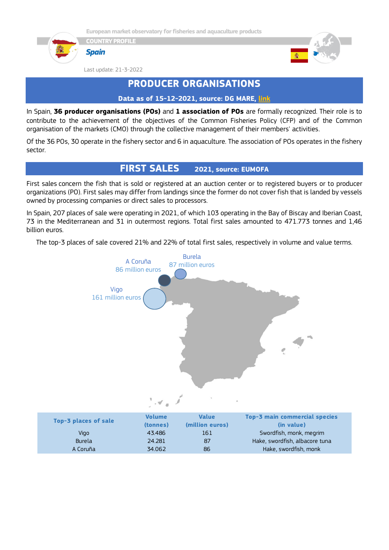







Last update: 21-3-2022

# **PRODUCER ORGANISATIONS**

### **Data as of 15-12-2021, source: DG MARE, [link](https://ec.europa.eu/fisheries/sites/fisheries/files/list-of-recognised-producer-organisations-and-associations-of-producer-organisations.pdf)**

In Spain, **36 producer organisations (POs)** and **1 association of POs** are formally recognized. Their role is to contribute to the achievement of the objectives of the Common Fisheries Policy (CFP) and of the Common organisation of the markets (CMO) through the collective management of their members' activities.

Of the 36 POs, 30 operate in the fishery sector and 6 in aquaculture. The association of POs operates in the fishery sector.

### **FIRST SALES 2021, source: EUMOFA**

First sales concern the fish that is sold or registered at an auction center or to registered buyers or to producer organizations (PO). First sales may differ from landings since the former do not cover fish that is landed by vessels owned by processing companies or direct sales to processors.

In Spain, 207 places of sale were operating in 2021, of which 103 operating in the Bay of Biscay and Iberian Coast, 73 in the Mediterranean and 31 in outermost regions. Total first sales amounted to 471.773 tonnes and 1,46 billion euros.

The top-3 places of sale covered 21% and 22% of total first sales, respectively in volume and value terms.

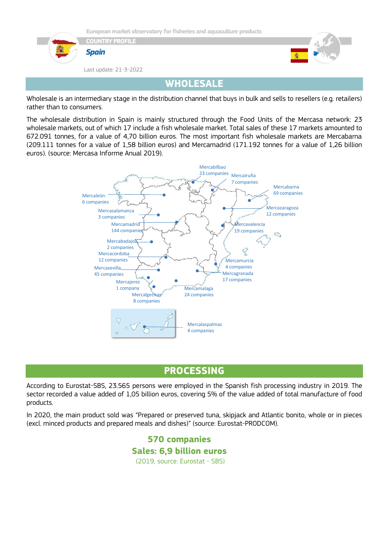

Wholesale is an intermediary stage in the distribution channel that buys in bulk and sells to resellers (e.g. retailers) rather than to consumers.

The wholesale distribution in Spain is mainly structured through the Food Units of the Mercasa network: 23 wholesale markets, out of which 17 include a fish wholesale market. Total sales of these 17 markets amounted to 672.091 tonnes, for a value of 4,70 billion euros. The most important fish wholesale markets are Mercabarna (209.111 tonnes for a value of 1,58 billion euros) and Mercamadrid (171.192 tonnes for a value of 1,26 billion euros). (source: Mercasa Informe Anual 2019).



# **PROCESSING**

According to Eurostat-SBS, 23.565 persons were employed in the Spanish fish processing industry in 2019. The sector recorded a value added of 1,05 billion euros, covering 5% of the value added of total manufacture of food products.

In 2020, the main product sold was "Prepared or preserved tuna, skipjack and Atlantic bonito, whole or in pieces (excl. minced products and prepared meals and dishes)" (source: Eurostat-PRODCOM).

> **570 companies Sales: 6,9 billion euros** (2019, source: Eurostat - SBS)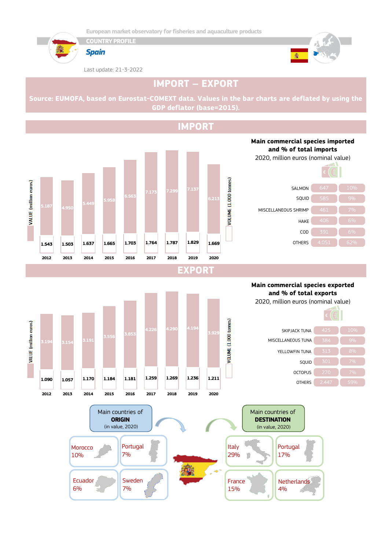





Last update: 21-3-2022



# **IMPORT – EXPORT**

**Source: EUMOFA, based on Eurostat-COMEXT data. Values in the bar charts are deflated by using the GDP deflator (base=2015).**

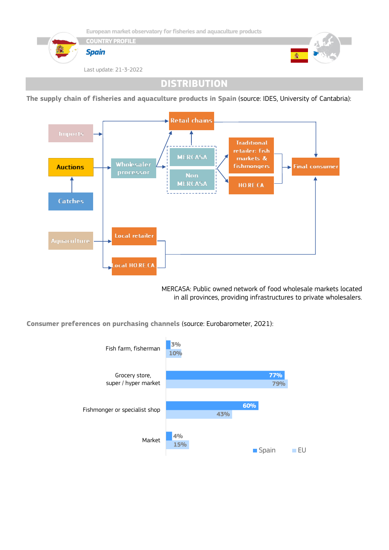

**DISTRIBUTION**

**The supply chain of fisheries and aquaculture products in Spain** (source: IDES, University of Cantabria):



MERCASA: Public owned network of food wholesale markets located in all provinces, providing infrastructures to private wholesalers.

**Consumer preferences on purchasing channels** (source: Eurobarometer, 2021):

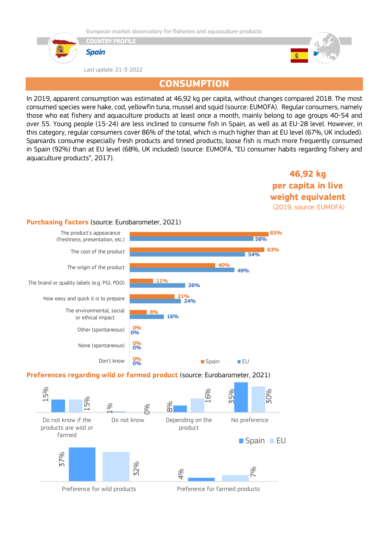



Last update: 21-3-2022



## **CONSUMPTION**

In 2019, apparent consumption was estimated at 46,92 kg per capita, without changes compared 2018. The most consumed species were hake, cod, yellowfin tuna, mussel and squid (source: EUMOFA). Regular consumers, namely those who eat fishery and aquaculture products at least once a month, mainly belong to age groups 40-54 and over 55. Young people (15-24) are less inclined to consume fish in Spain, as well as at EU-28 level. However, in this category, regular consumers cover 86% of the total, which is much higher than at EU level (67%, UK included). Spaniards consume especially fresh products and tinned products; loose fish is much more frequently consumed in Spain (92%) than at EU level (68%, UK included) (source: EUMOFA, "EU consumer habits regarding fishery and aquaculture products", 2017).

> **46,92 kg per capita in live weight equivalent** (2019, source: EUMOFA)

#### **Purchasing factors** (source: Eurobarometer, 2021)



#### **Preferences regarding wild or farmed product** (source: Eurobarometer, 2021)